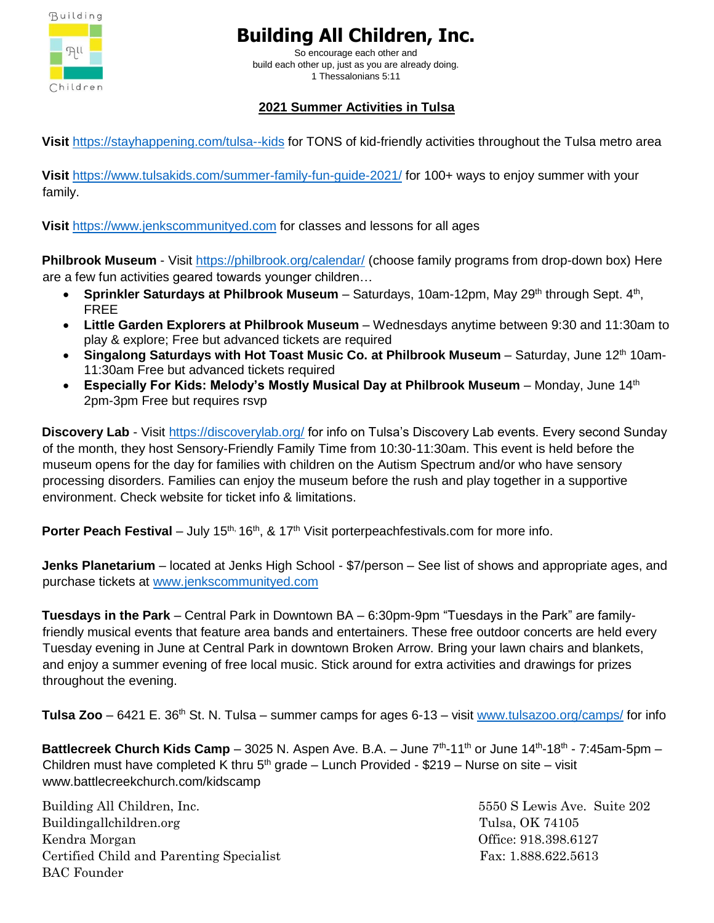

So encourage each other and build each other up, just as you are already doing. 1 Thessalonians 5:11

## **2021 Summer Activities in Tulsa**

**Visit** <https://stayhappening.com/tulsa--kids> for TONS of kid-friendly activities throughout the Tulsa metro area

**Visit** <https://www.tulsakids.com/summer-family-fun-guide-2021/> for 100+ ways to enjoy summer with your family.

**Visit** [https://www.jenkscommunityed.com](https://www.jenkscommunityed.com/) for classes and lessons for all ages

**Philbrook Museum** - Visit <https://philbrook.org/calendar/> (choose family programs from drop-down box) Here are a few fun activities geared towards younger children…

- Sprinkler Saturdays at Philbrook Museum Saturdays, 10am-12pm, May 29<sup>th</sup> through Sept. 4<sup>th</sup>, FREE
- **Little Garden Explorers at Philbrook Museum**  Wednesdays anytime between 9:30 and 11:30am to play & explore; Free but advanced tickets are required
- Singalong Saturdays with Hot Toast Music Co. at Philbrook Museum Saturday, June 12<sup>th</sup> 10am-11:30am Free but advanced tickets required
- **Especially For Kids: Melody's Mostly Musical Day at Philbrook Museum**  Monday, June 14th 2pm-3pm Free but requires rsvp

**Discovery Lab** - Visit <https://discoverylab.org/> for info on Tulsa's Discovery Lab events. Every second Sunday of the month, they host Sensory-Friendly Family Time from 10:30-11:30am. This event is held before the museum opens for the day for families with children on the Autism Spectrum and/or who have sensory processing disorders. Families can enjoy the museum before the rush and play together in a supportive environment. Check website for ticket info & limitations.

**Porter Peach Festival** – July 15<sup>th, 16th, & 17<sup>th</sup> Visit porterpeachfestivals.com for more info.</sup>

**Jenks Planetarium** – located at Jenks High School - \$7/person – See list of shows and appropriate ages, and purchase tickets at [www.jenkscommunityed.com](http://www.jenkscommunityed.com/)

**Tuesdays in the Park** – Central Park in Downtown BA – 6:30pm-9pm "Tuesdays in the Park" are familyfriendly musical events that feature area bands and entertainers. These free outdoor concerts are held every Tuesday evening in June at Central Park in downtown Broken Arrow. Bring your lawn chairs and blankets, and enjoy a summer evening of free local music. Stick around for extra activities and drawings for prizes throughout the evening.

**Tulsa Zoo** – 6421 E. 36<sup>th</sup> St. N. Tulsa – summer camps for ages 6-13 – visit [www.tulsazoo.org/camps/](http://www.tulsazoo.org/camps/) for info

Battlecreek Church Kids Camp – 3025 N. Aspen Ave. B.A. – June 7<sup>th</sup>-11<sup>th</sup> or June 14<sup>th</sup>-18<sup>th</sup> - 7:45am-5pm – Children must have completed K thru  $5<sup>th</sup>$  grade – Lunch Provided - \$219 – Nurse on site – visit www.battlecreekchurch.com/kidscamp

Building All Children, Inc. 5550 S Lewis Ave. Suite 202 Buildingallchildren.org Tulsa, OK 74105 Kendra Morgan Channels (1998) and the Channels of Channels (1998) and the Channels of Channels (1998) and Office: 918.398.6127 Certified Child and Parenting Specialist Fax: 1.888.622.5613 BAC Founder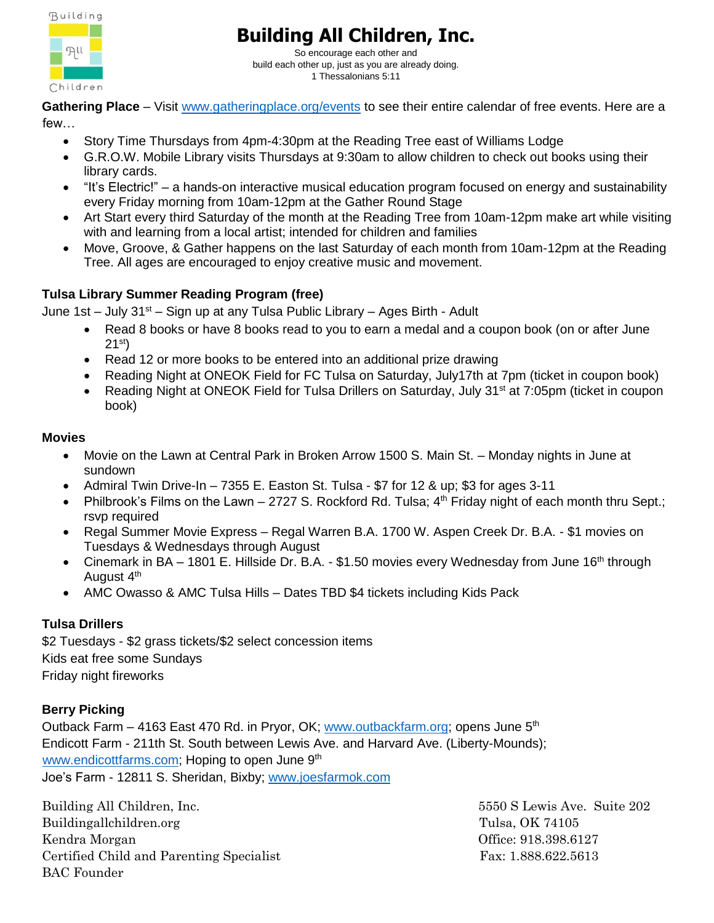

So encourage each other and build each other up, just as you are already doing. 1 Thessalonians 5:11

**Gathering Place** – Visit [www.gatheringplace.org/events](http://www.gatheringplace.org/events) to see their entire calendar of free events. Here are a few…

- Story Time Thursdays from 4pm-4:30pm at the Reading Tree east of Williams Lodge
- G.R.O.W. Mobile Library visits Thursdays at 9:30am to allow children to check out books using their library cards.
- "It's Electric!" a hands-on interactive musical education program focused on energy and sustainability every Friday morning from 10am-12pm at the Gather Round Stage
- Art Start every third Saturday of the month at the Reading Tree from 10am-12pm make art while visiting with and learning from a local artist; intended for children and families
- Move, Groove, & Gather happens on the last Saturday of each month from 10am-12pm at the Reading Tree. All ages are encouraged to enjoy creative music and movement.

### **Tulsa Library Summer Reading Program (free)**

June 1st – July  $31^{st}$  – Sign up at any Tulsa Public Library – Ages Birth - Adult

- Read 8 books or have 8 books read to you to earn a medal and a coupon book (on or after June  $21^{st}$
- Read 12 or more books to be entered into an additional prize drawing
- Reading Night at ONEOK Field for FC Tulsa on Saturday, July17th at 7pm (ticket in coupon book)
- Reading Night at ONEOK Field for Tulsa Drillers on Saturday, July 31<sup>st</sup> at 7:05pm (ticket in coupon book)

#### **Movies**

- Movie on the Lawn at Central Park in Broken Arrow 1500 S. Main St. Monday nights in June at sundown
- Admiral Twin Drive-In  $-7355$  E. Easton St. Tulsa \$7 for 12 & up; \$3 for ages 3-11
- Philbrook's Films on the Lawn 2727 S. Rockford Rd. Tulsa;  $4<sup>th</sup>$  Friday night of each month thru Sept.; rsvp required
- Regal Summer Movie Express Regal Warren B.A. 1700 W. Aspen Creek Dr. B.A. \$1 movies on Tuesdays & Wednesdays through August
- Cinemark in BA 1801 E. Hillside Dr. B.A. \$1.50 movies every Wednesday from June 16<sup>th</sup> through August 4<sup>th</sup>
- AMC Owasso & AMC Tulsa Hills Dates TBD \$4 tickets including Kids Pack

### **Tulsa Drillers**

\$2 Tuesdays - \$2 grass tickets/\$2 select concession items Kids eat free some Sundays Friday night fireworks

### **Berry Picking**

Outback Farm – 4163 East 470 Rd. in Pryor, OK; [www.outbackfarm.org;](http://www.outbackfarm.org/) opens June 5<sup>th</sup> Endicott Farm - 211th St. South between Lewis Ave. and Harvard Ave. (Liberty-Mounds); [www.endicottfarms.com;](http://www.endicottfarms.com/) Hoping to open June 9<sup>th</sup> Joe's Farm - 12811 S. Sheridan, Bixby; [www.joesfarmok.com](http://www.joesfarmok.com/)

Building All Children, Inc. 5550 S Lewis Ave. Suite 202 Buildingallchildren.org Tulsa, OK 74105 Kendra Morgan Channels (1998) and the Channels of Channels (1998) and the Channels of Channels (1998) and Office:  $918.398.6127$ Certified Child and Parenting Specialist Fax: 1.888.622.5613 BAC Founder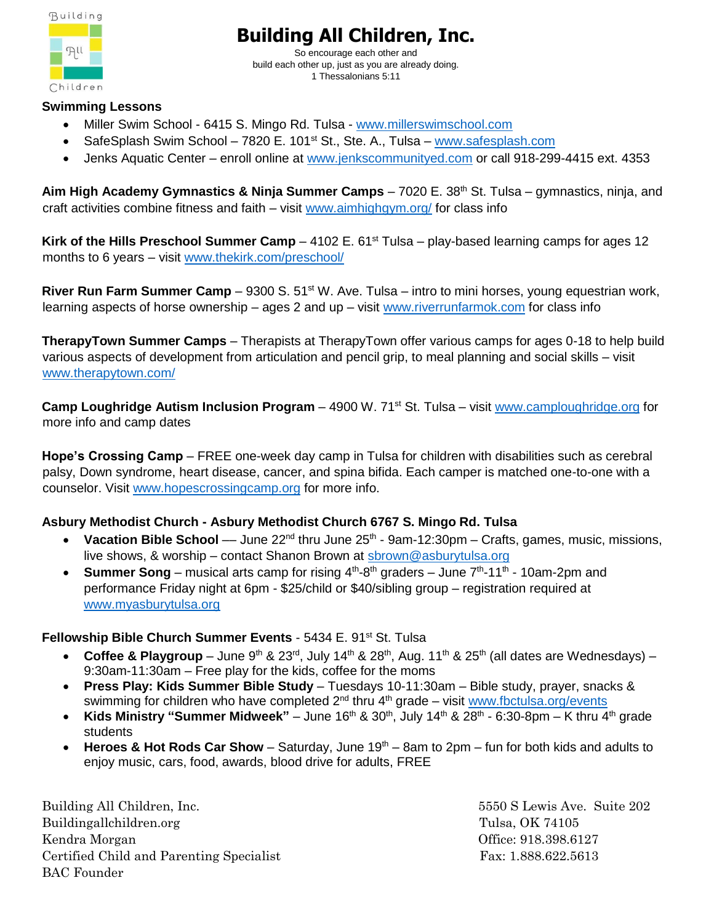

So encourage each other and build each other up, just as you are already doing. 1 Thessalonians 5:11

#### **Swimming Lessons**

- Miller Swim School 6415 S. Mingo Rd. Tulsa [www.millerswimschool.com](http://www.millerswimschool.com/)
- SafeSplash Swim School 7820 E. 101<sup>st</sup> St., Ste. A., Tulsa [www.safesplash.com](http://www.safesplash.com/)
- Jenks Aquatic Center enroll online at [www.jenkscommunityed.com](http://www.jenkscommunityed.com/) or call 918-299-4415 ext. 4353

Aim High Academy Gymnastics & Ninja Summer Camps – 7020 E. 38<sup>th</sup> St. Tulsa – gymnastics, ninja, and craft activities combine fitness and faith – visit [www.aimhighgym.org/](http://www.aimhighgym.org/) for class info

**Kirk of the Hills Preschool Summer Camp** – 4102 E. 61<sup>st</sup> Tulsa – play-based learning camps for ages 12 months to 6 years – visit [www.thekirk.com/preschool/](http://www.thekirk.com/preschool/)

**River Run Farm Summer Camp** – 9300 S. 51<sup>st</sup> W. Ave. Tulsa – intro to mini horses, young equestrian work, learning aspects of horse ownership – ages 2 and up – visit [www.riverrunfarmok.com](http://www.riverrunfarmok.com/) for class info

**TherapyTown Summer Camps** – Therapists at TherapyTown offer various camps for ages 0-18 to help build various aspects of development from articulation and pencil grip, to meal planning and social skills – visit [www.therapytown.com/](http://www.therapytown.com/)

**Camp Loughridge Autism Inclusion Program** – 4900 W. 71<sup>st</sup> St. Tulsa – visit [www.camploughridge.org](http://www.camploughridge.org/) for more info and camp dates

**Hope's Crossing Camp** – FREE one-week day camp in Tulsa for children with disabilities such as cerebral palsy, Down syndrome, heart disease, cancer, and spina bifida. Each camper is matched one-to-one with a counselor. Visit [www.hopescrossingcamp.org](http://www.hopescrossingcamp.org/) for more info.

### **Asbury Methodist Church - Asbury Methodist Church 6767 S. Mingo Rd. Tulsa**

- Vacation Bible School June 22<sup>nd</sup> thru June 25<sup>th</sup> 9am-12:30pm Crafts, games, music, missions, live shows, & worship – contact Shanon Brown at [sbrown@asburytulsa.org](mailto:sbrown@asburytulsa.org)
- **Summer Song** musical arts camp for rising  $4<sup>th</sup>$ -8<sup>th</sup> graders June  $7<sup>th</sup>$ -11<sup>th</sup> 10am-2pm and performance Friday night at 6pm - \$25/child or \$40/sibling group – registration required at [www.myasburytulsa.org](http://www.myasburytulsa.org/)

#### **Fellowship Bible Church Summer Events** - 5434 E. 91st St. Tulsa

- Coffee & Playgroup June 9<sup>th</sup> & 23<sup>rd</sup>, July 14<sup>th</sup> & 28<sup>th</sup>, Aug. 11<sup>th</sup> & 25<sup>th</sup> (all dates are Wednesdays) 9:30am-11:30am – Free play for the kids, coffee for the moms
- **Press Play: Kids Summer Bible Study**  Tuesdays 10-11:30am Bible study, prayer, snacks & swimming for children who have completed  $2^{nd}$  thru  $4^{th}$  grade – visit [www.fbctulsa.org/events](http://www.fbctulsa.org/events)
- Kids Ministry "Summer Midweek" June 16<sup>th</sup> & 30<sup>th</sup>, July 14<sup>th</sup> & 28<sup>th</sup> 6:30-8pm K thru 4<sup>th</sup> grade students
- Heroes & Hot Rods Car Show Saturday, June 19<sup>th</sup> 8am to 2pm fun for both kids and adults to enjoy music, cars, food, awards, blood drive for adults, FREE

Building All Children, Inc. 5550 S Lewis Ave. Suite 202 Buildingallchildren.org Tulsa, OK 74105 Kendra Morgan Channels (1998) and the Channels of Channels (1998) and the Channels of Channels (1998) and Office:  $918.398.6127$ Certified Child and Parenting Specialist Fax: 1.888.622.5613 BAC Founder